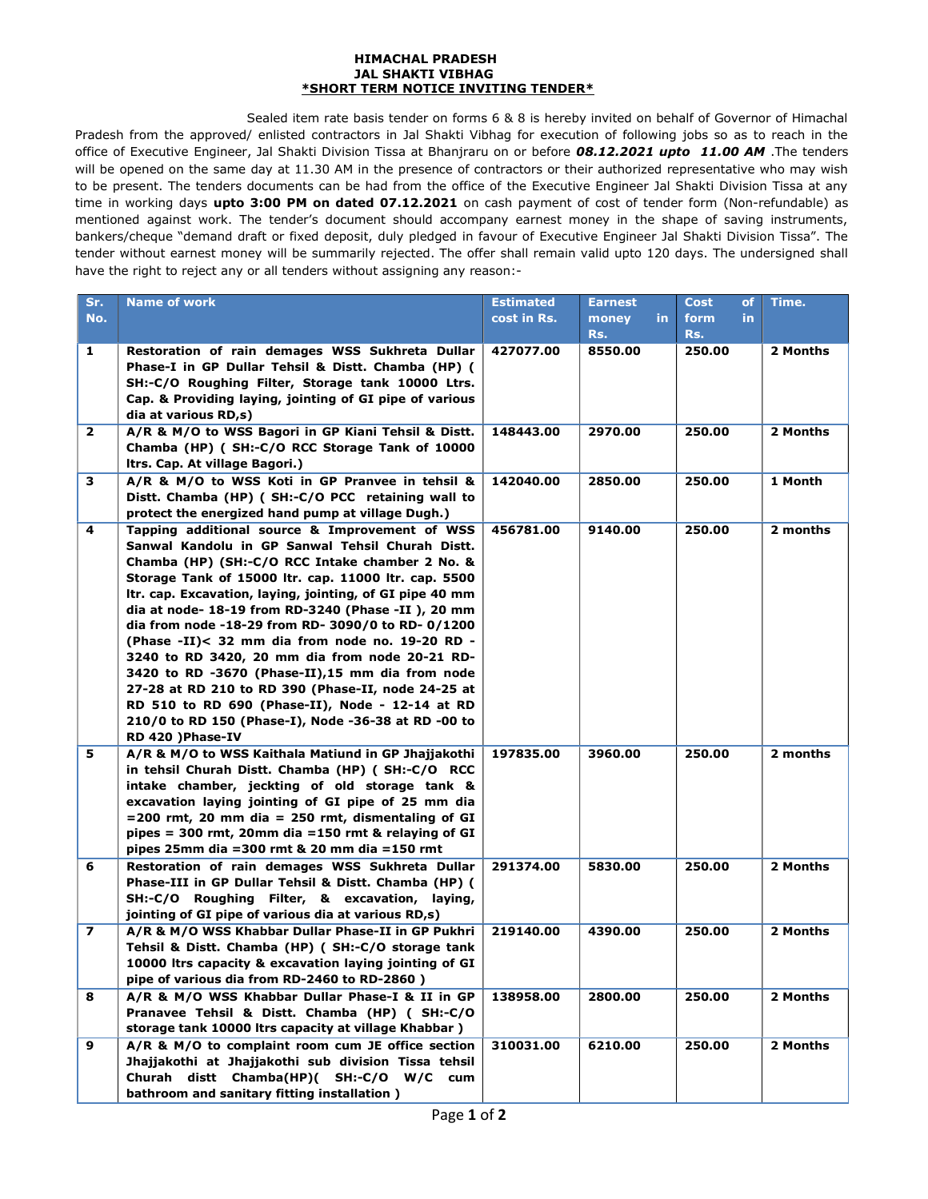### HIMACHAL PRADESH JAL SHAKTI VIBHAG \*SHORT TERM NOTICE INVITING TENDER\*

Sealed item rate basis tender on forms 6 & 8 is hereby invited on behalf of Governor of Himachal Pradesh from the approved/ enlisted contractors in Jal Shakti Vibhag for execution of following jobs so as to reach in the office of Executive Engineer, Jal Shakti Division Tissa at Bhanjraru on or before 08.12.2021 upto 11.00 AM .The tenders will be opened on the same day at 11.30 AM in the presence of contractors or their authorized representative who may wish to be present. The tenders documents can be had from the office of the Executive Engineer Jal Shakti Division Tissa at any time in working days upto 3:00 PM on dated 07.12.2021 on cash payment of cost of tender form (Non-refundable) as mentioned against work. The tender's document should accompany earnest money in the shape of saving instruments, bankers/cheque "demand draft or fixed deposit, duly pledged in favour of Executive Engineer Jal Shakti Division Tissa". The tender without earnest money will be summarily rejected. The offer shall remain valid upto 120 days. The undersigned shall have the right to reject any or all tenders without assigning any reason:-

| Sr.              | <b>Name of work</b>                                                                                   | <b>Estimated</b> | <b>Earnest</b> | Cost<br><b>of</b> | Time.    |
|------------------|-------------------------------------------------------------------------------------------------------|------------------|----------------|-------------------|----------|
| No.              |                                                                                                       | cost in Rs.      | in.<br>money   | form<br>in.       |          |
|                  |                                                                                                       |                  | Rs.            | Rs.               |          |
| 1                |                                                                                                       | 427077.00        | 8550.00        | 250.00            | 2 Months |
|                  | Restoration of rain demages WSS Sukhreta Dullar<br>Phase-I in GP Dullar Tehsil & Distt. Chamba (HP) ( |                  |                |                   |          |
|                  | SH:-C/O Roughing Filter, Storage tank 10000 Ltrs.                                                     |                  |                |                   |          |
|                  | Cap. & Providing laying, jointing of GI pipe of various                                               |                  |                |                   |          |
|                  |                                                                                                       |                  |                |                   |          |
|                  | dia at various RD,s)                                                                                  |                  |                |                   |          |
| $\overline{2}$   | A/R & M/O to WSS Bagori in GP Kiani Tehsil & Distt.                                                   | 148443.00        | 2970.00        | 250.00            | 2 Months |
|                  | Chamba (HP) (SH:-C/O RCC Storage Tank of 10000                                                        |                  |                |                   |          |
|                  | Itrs. Cap. At village Bagori.)                                                                        |                  |                |                   |          |
| 3                | A/R & M/O to WSS Koti in GP Pranvee in tehsil &                                                       | 142040.00        | 2850.00        | 250.00            | 1 Month  |
|                  | Distt. Chamba (HP) (SH:-C/O PCC retaining wall to                                                     |                  |                |                   |          |
|                  | protect the energized hand pump at village Dugh.)                                                     |                  |                |                   |          |
| 4                | Tapping additional source & Improvement of WSS                                                        | 456781.00        | 9140.00        | 250.00            | 2 months |
|                  | Sanwal Kandolu in GP Sanwal Tehsil Churah Distt.                                                      |                  |                |                   |          |
|                  | Chamba (HP) (SH:-C/O RCC Intake chamber 2 No. &                                                       |                  |                |                   |          |
|                  | Storage Tank of 15000 ltr. cap. 11000 ltr. cap. 5500                                                  |                  |                |                   |          |
|                  | Itr. cap. Excavation, laying, jointing, of GI pipe 40 mm                                              |                  |                |                   |          |
|                  | dia at node- 18-19 from RD-3240 (Phase -II), 20 mm                                                    |                  |                |                   |          |
|                  | dia from node -18-29 from RD- 3090/0 to RD- 0/1200                                                    |                  |                |                   |          |
|                  | (Phase -II)< 32 mm dia from node no. 19-20 RD -                                                       |                  |                |                   |          |
|                  | 3240 to RD 3420, 20 mm dia from node 20-21 RD-                                                        |                  |                |                   |          |
|                  | 3420 to RD -3670 (Phase-II),15 mm dia from node                                                       |                  |                |                   |          |
|                  | 27-28 at RD 210 to RD 390 (Phase-II, node 24-25 at                                                    |                  |                |                   |          |
|                  | RD 510 to RD 690 (Phase-II), Node - 12-14 at RD                                                       |                  |                |                   |          |
|                  | 210/0 to RD 150 (Phase-I), Node -36-38 at RD -00 to                                                   |                  |                |                   |          |
|                  | RD 420 ) Phase-IV                                                                                     |                  |                |                   |          |
| 5                | A/R & M/O to WSS Kaithala Matiund in GP Jhajjakothi                                                   | 197835.00        | 3960.00        | 250.00            | 2 months |
|                  | in tehsil Churah Distt. Chamba (HP) (SH:-C/O RCC                                                      |                  |                |                   |          |
|                  | intake chamber, jeckting of old storage tank &                                                        |                  |                |                   |          |
|                  | excavation laying jointing of GI pipe of 25 mm dia                                                    |                  |                |                   |          |
|                  | $= 200$ rmt, 20 mm dia $= 250$ rmt, dismentaling of GI                                                |                  |                |                   |          |
|                  | pipes = 300 rmt, 20mm dia = 150 rmt & relaying of GI                                                  |                  |                |                   |          |
|                  | pipes 25mm dia = 300 rmt & 20 mm dia = 150 rmt                                                        |                  |                |                   |          |
| 6                | Restoration of rain demages WSS Sukhreta Dullar                                                       | 291374.00        | 5830.00        | 250.00            | 2 Months |
|                  | Phase-III in GP Dullar Tehsil & Distt. Chamba (HP) (                                                  |                  |                |                   |          |
|                  | SH:-C/O Roughing Filter, & excavation, laying,                                                        |                  |                |                   |          |
|                  | jointing of GI pipe of various dia at various RD,s)                                                   |                  |                |                   |          |
| $\boldsymbol{7}$ | A/R & M/O WSS Khabbar Dullar Phase-II in GP Pukhri                                                    | 219140.00        | 4390.00        | 250.00            | 2 Months |
|                  | Tehsil & Distt. Chamba (HP) ( SH:-C/O storage tank                                                    |                  |                |                   |          |
|                  | 10000 Itrs capacity & excavation laying jointing of GI                                                |                  |                |                   |          |
|                  | pipe of various dia from RD-2460 to RD-2860)                                                          |                  |                |                   |          |
| 8                | A/R & M/O WSS Khabbar Dullar Phase-I & II in GP                                                       | 138958.00        | 2800.00        | 250.00            | 2 Months |
|                  | Pranavee Tehsil & Distt. Chamba (HP) (SH:-C/O                                                         |                  |                |                   |          |
|                  | storage tank 10000 ltrs capacity at village Khabbar)                                                  |                  |                |                   |          |
| 9                | A/R & M/O to complaint room cum JE office section                                                     | 310031.00        | 6210.00        | 250.00            | 2 Months |
|                  | Jhajjakothi at Jhajjakothi sub division Tissa tehsil                                                  |                  |                |                   |          |
|                  | Churah distt Chamba(HP)( SH:-C/O W/C cum                                                              |                  |                |                   |          |
|                  | bathroom and sanitary fitting installation)                                                           |                  |                |                   |          |